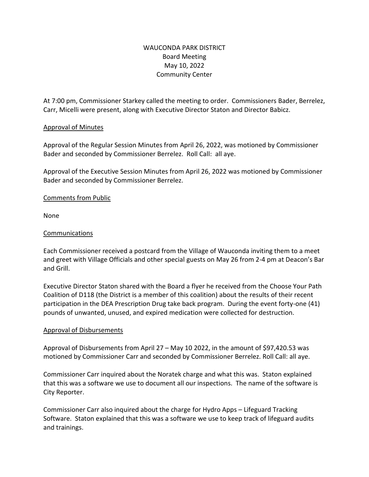# WAUCONDA PARK DISTRICT Board Meeting May 10, 2022 Community Center

At 7:00 pm, Commissioner Starkey called the meeting to order. Commissioners Bader, Berrelez, Carr, Micelli were present, along with Executive Director Staton and Director Babicz.

## Approval of Minutes

Approval of the Regular Session Minutes from April 26, 2022, was motioned by Commissioner Bader and seconded by Commissioner Berrelez. Roll Call: all aye.

Approval of the Executive Session Minutes from April 26, 2022 was motioned by Commissioner Bader and seconded by Commissioner Berrelez.

## Comments from Public

None

## Communications

Each Commissioner received a postcard from the Village of Wauconda inviting them to a meet and greet with Village Officials and other special guests on May 26 from 2-4 pm at Deacon's Bar and Grill.

Executive Director Staton shared with the Board a flyer he received from the Choose Your Path Coalition of D118 (the District is a member of this coalition) about the results of their recent participation in the DEA Prescription Drug take back program. During the event forty-one (41) pounds of unwanted, unused, and expired medication were collected for destruction.

## Approval of Disbursements

Approval of Disbursements from April 27 – May 10 2022, in the amount of \$97,420.53 was motioned by Commissioner Carr and seconded by Commissioner Berrelez. Roll Call: all aye.

Commissioner Carr inquired about the Noratek charge and what this was. Staton explained that this was a software we use to document all our inspections. The name of the software is City Reporter.

Commissioner Carr also inquired about the charge for Hydro Apps – Lifeguard Tracking Software. Staton explained that this was a software we use to keep track of lifeguard audits and trainings.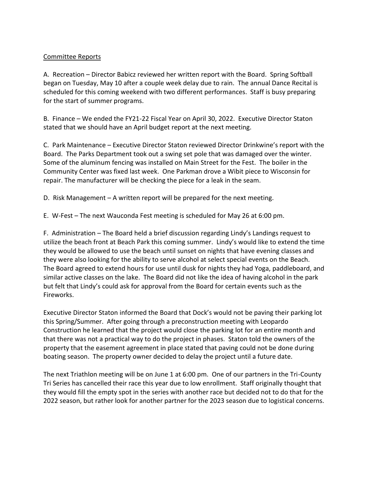## Committee Reports

A. Recreation – Director Babicz reviewed her written report with the Board. Spring Softball began on Tuesday, May 10 after a couple week delay due to rain. The annual Dance Recital is scheduled for this coming weekend with two different performances. Staff is busy preparing for the start of summer programs.

B. Finance – We ended the FY21-22 Fiscal Year on April 30, 2022. Executive Director Staton stated that we should have an April budget report at the next meeting.

C. Park Maintenance – Executive Director Staton reviewed Director Drinkwine's report with the Board. The Parks Department took out a swing set pole that was damaged over the winter. Some of the aluminum fencing was installed on Main Street for the Fest. The boiler in the Community Center was fixed last week. One Parkman drove a Wibit piece to Wisconsin for repair. The manufacturer will be checking the piece for a leak in the seam.

D. Risk Management – A written report will be prepared for the next meeting.

E. W-Fest – The next Wauconda Fest meeting is scheduled for May 26 at 6:00 pm.

F. Administration – The Board held a brief discussion regarding Lindy's Landings request to utilize the beach front at Beach Park this coming summer. Lindy's would like to extend the time they would be allowed to use the beach until sunset on nights that have evening classes and they were also looking for the ability to serve alcohol at select special events on the Beach. The Board agreed to extend hours for use until dusk for nights they had Yoga, paddleboard, and similar active classes on the lake. The Board did not like the idea of having alcohol in the park but felt that Lindy's could ask for approval from the Board for certain events such as the Fireworks.

Executive Director Staton informed the Board that Dock's would not be paving their parking lot this Spring/Summer. After going through a preconstruction meeting with Leopardo Construction he learned that the project would close the parking lot for an entire month and that there was not a practical way to do the project in phases. Staton told the owners of the property that the easement agreement in place stated that paving could not be done during boating season. The property owner decided to delay the project until a future date.

The next Triathlon meeting will be on June 1 at 6:00 pm. One of our partners in the Tri-County Tri Series has cancelled their race this year due to low enrollment. Staff originally thought that they would fill the empty spot in the series with another race but decided not to do that for the 2022 season, but rather look for another partner for the 2023 season due to logistical concerns.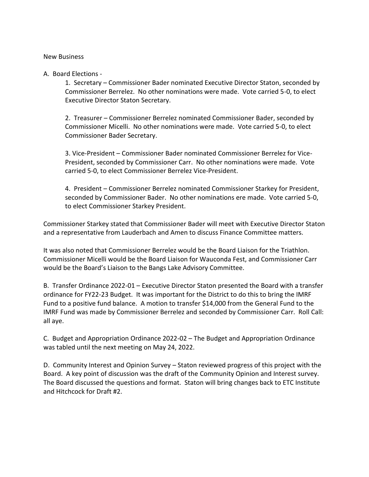#### New Business

#### A. Board Elections -

1. Secretary – Commissioner Bader nominated Executive Director Staton, seconded by Commissioner Berrelez. No other nominations were made. Vote carried 5-0, to elect Executive Director Staton Secretary.

2. Treasurer – Commissioner Berrelez nominated Commissioner Bader, seconded by Commissioner Micelli. No other nominations were made. Vote carried 5-0, to elect Commissioner Bader Secretary.

3. Vice-President – Commissioner Bader nominated Commissioner Berrelez for Vice-President, seconded by Commissioner Carr. No other nominations were made. Vote carried 5-0, to elect Commissioner Berrelez Vice-President.

4. President – Commissioner Berrelez nominated Commissioner Starkey for President, seconded by Commissioner Bader. No other nominations ere made. Vote carried 5-0, to elect Commissioner Starkey President.

Commissioner Starkey stated that Commissioner Bader will meet with Executive Director Staton and a representative from Lauderbach and Amen to discuss Finance Committee matters.

It was also noted that Commissioner Berrelez would be the Board Liaison for the Triathlon. Commissioner Micelli would be the Board Liaison for Wauconda Fest, and Commissioner Carr would be the Board's Liaison to the Bangs Lake Advisory Committee.

B. Transfer Ordinance 2022-01 – Executive Director Staton presented the Board with a transfer ordinance for FY22-23 Budget. It was important for the District to do this to bring the IMRF Fund to a positive fund balance. A motion to transfer \$14,000 from the General Fund to the IMRF Fund was made by Commissioner Berrelez and seconded by Commissioner Carr. Roll Call: all aye.

C. Budget and Appropriation Ordinance 2022-02 – The Budget and Appropriation Ordinance was tabled until the next meeting on May 24, 2022.

D. Community Interest and Opinion Survey – Staton reviewed progress of this project with the Board. A key point of discussion was the draft of the Community Opinion and Interest survey. The Board discussed the questions and format. Staton will bring changes back to ETC Institute and Hitchcock for Draft #2.